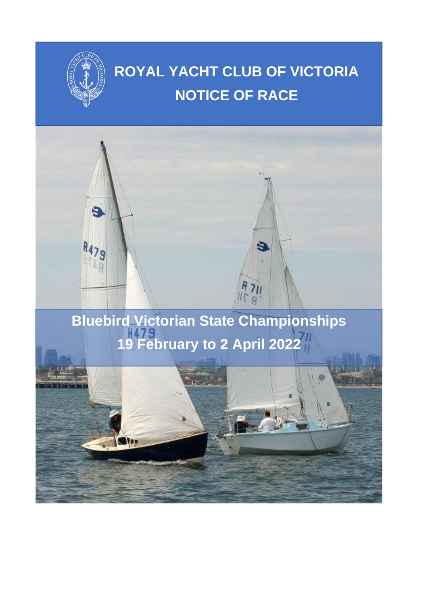

# **ROYAL YACHT CLUB OF VICTORIA NOTICE OF RACE**



# **Bluebird Victorian State Championships 19 February to 2 April 2022**

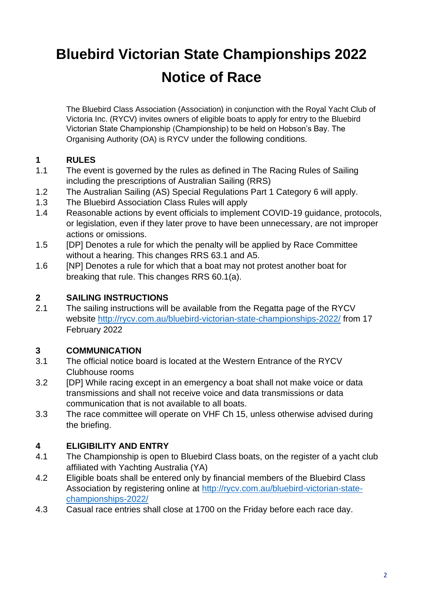# **Bluebird Victorian State Championships 2022 Notice of Race**

The Bluebird Class Association (Association) in conjunction with the Royal Yacht Club of Victoria Inc. (RYCV) invites owners of eligible boats to apply for entry to the Bluebird Victorian State Championship (Championship) to be held on Hobson's Bay. The Organising Authority (OA) is RYCV under the following conditions.

## **1 RULES**

- 1.1 The event is governed by the rules as defined in The Racing Rules of Sailing including the prescriptions of Australian Sailing (RRS)
- 1.2 The Australian Sailing (AS) Special Regulations Part 1 Category 6 will apply.
- 1.3 The Bluebird Association Class Rules will apply
- 1.4 Reasonable actions by event officials to implement COVID-19 guidance, protocols, or legislation, even if they later prove to have been unnecessary, are not improper actions or omissions.
- 1.5 [DP] Denotes a rule for which the penalty will be applied by Race Committee without a hearing. This changes RRS 63.1 and A5.
- 1.6 [NP] Denotes a rule for which that a boat may not protest another boat for breaking that rule. This changes RRS 60.1(a).

### **2 SAILING INSTRUCTIONS**

2.1 The sailing instructions will be available from the Regatta page of the RYCV website<http://rycv.com.au/bluebird-victorian-state-championships-2022/> from 17 February 2022

## **3 COMMUNICATION**

- 3.1 The official notice board is located at the Western Entrance of the RYCV Clubhouse rooms
- 3.2 [DP] While racing except in an emergency a boat shall not make voice or data transmissions and shall not receive voice and data transmissions or data communication that is not available to all boats.
- 3.3 The race committee will operate on VHF Ch 15, unless otherwise advised during the briefing.

### **4 ELIGIBILITY AND ENTRY**

- 4.1 The Championship is open to Bluebird Class boats, on the register of a yacht club affiliated with Yachting Australia (YA)
- 4.2 Eligible boats shall be entered only by financial members of the Bluebird Class Association by registering online at [http://rycv.com.au/bluebird-victorian-state](http://rycv.com.au/bluebird-victorian-state-championships-2022/)[championships-2022/](http://rycv.com.au/bluebird-victorian-state-championships-2022/)
- 4.3 Casual race entries shall close at 1700 on the Friday before each race day.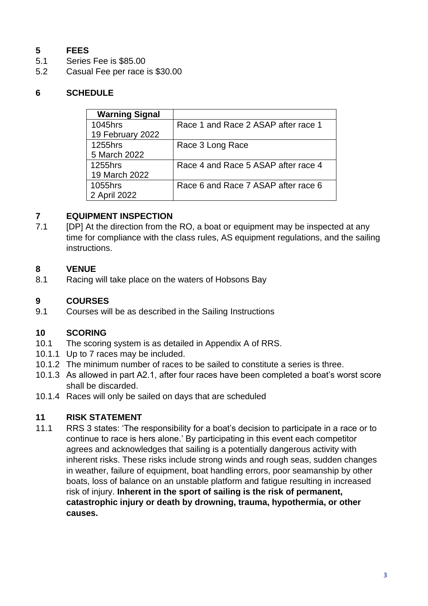## **5 FEES**

- 5.1 Series Fee is \$85.00
- 5.2 Casual Fee per race is \$30.00

### **6 SCHEDULE**

| <b>Warning Signal</b> |                                     |
|-----------------------|-------------------------------------|
| 1045hrs               | Race 1 and Race 2 ASAP after race 1 |
| 19 February 2022      |                                     |
| 1255hrs               | Race 3 Long Race                    |
| 5 March 2022          |                                     |
| 1255hrs               | Race 4 and Race 5 ASAP after race 4 |
| 19 March 2022         |                                     |
| 1055hrs               | Race 6 and Race 7 ASAP after race 6 |
| 2 April 2022          |                                     |

# **7 EQUIPMENT INSPECTION**<br>**7.1 IDP1** At the direction from the

[DP] At the direction from the RO, a boat or equipment may be inspected at any time for compliance with the class rules, AS equipment regulations, and the sailing instructions.

### **8 VENUE**

8.1 Racing will take place on the waters of Hobsons Bay

### **9 COURSES**

9.1 Courses will be as described in the Sailing Instructions

### **10 SCORING**

- 10.1 The scoring system is as detailed in Appendix A of RRS.
- 10.1.1 Up to 7 races may be included.
- 10.1.2 The minimum number of races to be sailed to constitute a series is three.
- 10.1.3 As allowed in part A2.1, after four races have been completed a boat's worst score shall be discarded.
- 10.1.4 Races will only be sailed on days that are scheduled

### **11 RISK STATEMENT**

11.1 RRS 3 states: 'The responsibility for a boat's decision to participate in a race or to continue to race is hers alone.' By participating in this event each competitor agrees and acknowledges that sailing is a potentially dangerous activity with inherent risks. These risks include strong winds and rough seas, sudden changes in weather, failure of equipment, boat handling errors, poor seamanship by other boats, loss of balance on an unstable platform and fatigue resulting in increased risk of injury. **Inherent in the sport of sailing is the risk of permanent, catastrophic injury or death by drowning, trauma, hypothermia, or other causes.**